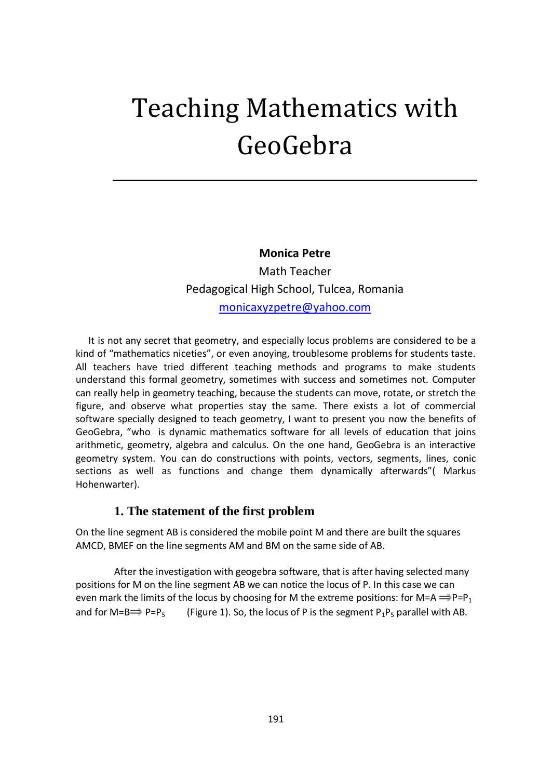# Teaching Mathematics with GeoGebra

**Monica Petre** 

Math Teacher Pedagogical High School, Tulcea, Romania [monicaxyzpetre@yahoo.com](mailto:monicaxyzpetre@yahoo.com)

 It is not any secret that geometry, and especially locus problems are considered to be a kind of "mathematics niceties", or even anoying, troublesome problems for students taste. All teachers have tried different teaching methods and programs to make students understand this formal geometry, sometimes with success and sometimes not. Computer can really help in geometry teaching, because the students can move, rotate, or stretch the figure, and observe what properties stay the same. There exists a lot of commercial software specially designed to teach geometry, I want to present you now the benefits of GeoGebra, "who is dynamic mathematics software for all levels of education that joins arithmetic, geometry, algebra and calculus. On the one hand, GeoGebra is an interactive geometry system. You can do constructions with points, vectors, segments, lines, conic sections as well as functions and change them dynamically afterwards"( Markus Hohenwarter).

#### **1. The statement of the first problem**

On the line segment AB is considered the mobile point M and there are built the squares AMCD, BMEF on the line segments AM and BM on the same side of AB.

After the investigation with geogebra software, that is after having selected many positions for M on the line segment AB we can notice the locus of P. In this case we can even mark the limits of the locus by choosing for M the extreme positions: for M=A  $\Longrightarrow P = P_1$ and for M=B P=P<sub>5</sub> (Figure 1). So, the locus of P is the segment P<sub>1</sub>P<sub>5</sub> parallel with AB.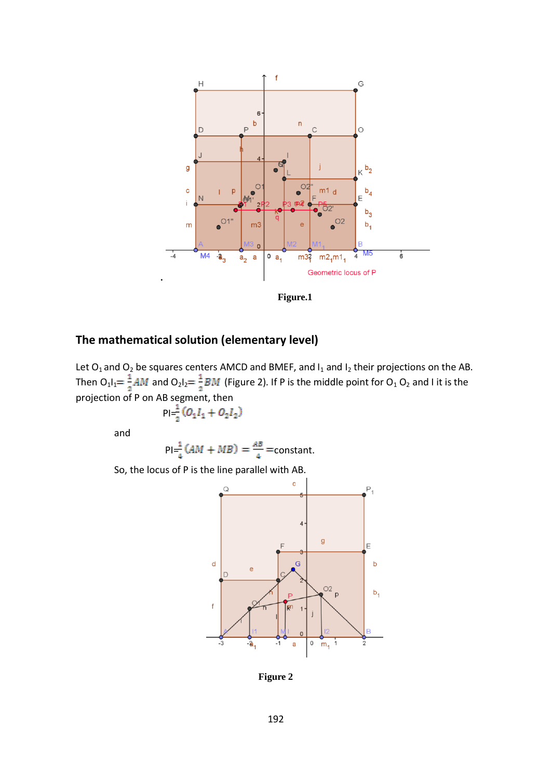

**Figure.1**

## **The mathematical solution (elementary level)**

Let  $O_1$  and  $O_2$  be squares centers AMCD and BMEF, and  $I_1$  and  $I_2$  their projections on the AB. Then  $O_1I_1 = \frac{1}{2}AM$  and  $O_2I_2 = \frac{1}{2}BM$  (Figure 2). If P is the middle point for  $O_1 O_2$  and I it is the projection of P on AB segment, then

$$
p_1 = \frac{1}{2}(O_1I_1 + O_2I_2)
$$

and

$$
Pl = \frac{1}{4}(AM + MB) = \frac{AB}{4} = constant.
$$

So, the locus of P is the line parallel with AB.



**Figure 2**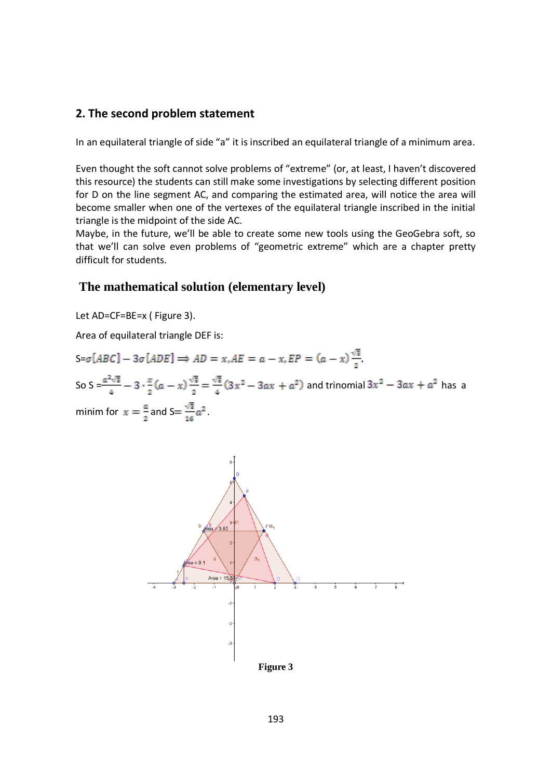## **2. The second problem statement**

In an equilateral triangle of side "a" it is inscribed an equilateral triangle of a minimum area.

Even thought the soft cannot solve problems of "extreme" (or, at least, I haven't discovered this resource) the students can still make some investigations by selecting different position for D on the line segment AC, and comparing the estimated area, will notice the area will become smaller when one of the vertexes of the equilateral triangle inscribed in the initial triangle is the midpoint of the side AC.

Maybe, in the future, we'll be able to create some new tools using the GeoGebra soft, so that we'll can solve even problems of "geometric extreme" which are a chapter pretty difficult for students.

## **The mathematical solution (elementary level)**

Let AD=CF=BE=x ( Figure 3).

Area of equilateral triangle DEF is:

 $S = \sigma[ABC] - 3\sigma[ADE] \Rightarrow AD = x, AE = a - x, EP = (a - x)\frac{\sqrt{3}}{2}.$ So S =  $\frac{a^2\sqrt{3}}{4}$  - 3  $\cdot \frac{x}{2}$  (a - x)  $\frac{\sqrt{3}}{2}$  =  $\frac{\sqrt{3}}{4}$  (3x<sup>2</sup> - 3ax + a<sup>2</sup>) and trinomial 3x<sup>2</sup> - 3ax + a<sup>2</sup> has a minim for  $x = \frac{a}{2}$  and  $S = \frac{\sqrt{3}}{16}a^2$ .

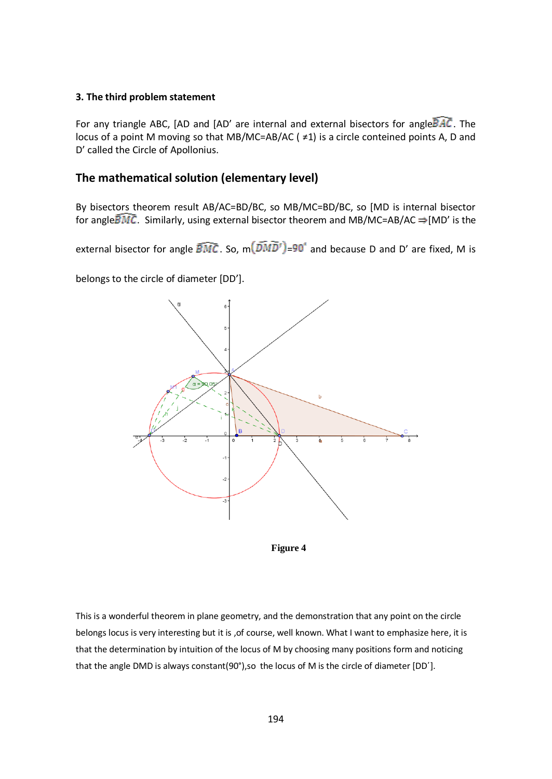#### **3. The third problem statement**

For any triangle ABC, [AD and [AD' are internal and external bisectors for angle  $\overline{BAC}$ . The locus of a point M moving so that MB/MC=AB/AC ( ≠1) is a circle conteined points A, D and D' called the Circle of Apollonius.

## **The mathematical solution (elementary level)**

By bisectors theorem result AB/AC=BD/BC, so MB/MC=BD/BC, so [MD is internal bisector for angle  $\overline{BMC}$ . Similarly, using external bisector theorem and MB/MC=AB/AC  $\Rightarrow$  [MD' is the

external bisector for angle  $\widehat{BMC}$ . So,  $m(\widehat{DMD'})=90^\circ$  and because D and D' are fixed. M is

belongs to the circle of diameter [DD'].





This is a wonderful theorem in plane geometry, and the demonstration that any point on the circle belongs locus is very interesting but it is , of course, well known. What I want to emphasize here, it is that the determination by intuition of the locus of M by choosing many positions form and noticing that the angle DMD is always constant(90 $^{\circ}$ ),so the locus of M is the circle of diameter [DD'].